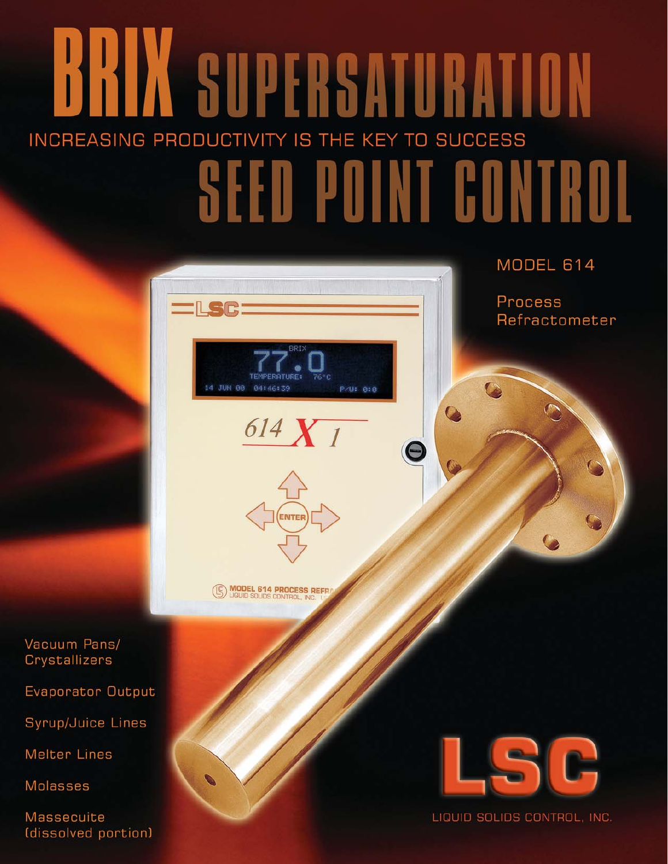## **BRIX SUPERSATURATION** INCREASING PRODUCTIVITY IS THE KEY TO SUCCESS **SEED POINT CONTROL**

P/U: 0:0

MODEL 614

Process Refractometer

**MODEL 614 PROCESS REFE** 

14 JUN 88 84:46:39

 $614 X_1$ 

Vacuum Pans/ Crystallizers

Evaporator Output

Syrup/Juice Lines

**Melter Lines** 

**Molasses** 

**Massecuite** (dissolved portion)

LIQUID SOLIDS CONTROL, INC.